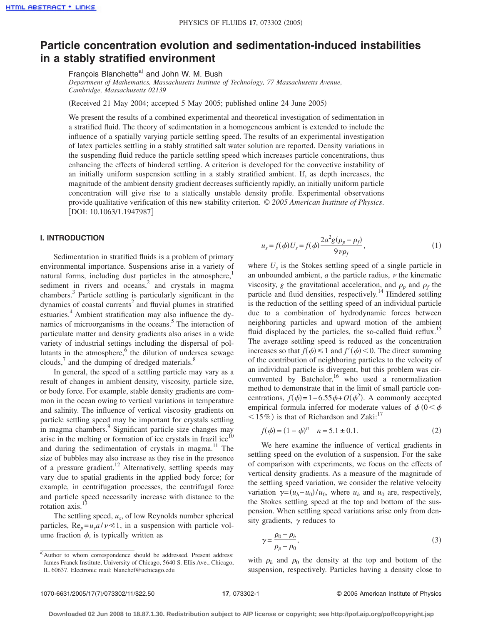# **Particle concentration evolution and sedimentation-induced instabilities in a stably stratified environment**

François Blanchette<sup>a)</sup> and John W. M. Bush

*Department of Mathematics, Massachusetts Institute of Technology, 77 Massachusetts Avenue, Cambridge, Massachusetts 02139*

(Received 21 May 2004; accepted 5 May 2005; published online 24 June 2005)

We present the results of a combined experimental and theoretical investigation of sedimentation in a stratified fluid. The theory of sedimentation in a homogeneous ambient is extended to include the influence of a spatially varying particle settling speed. The results of an experimental investigation of latex particles settling in a stably stratified salt water solution are reported. Density variations in the suspending fluid reduce the particle settling speed which increases particle concentrations, thus enhancing the effects of hindered settling. A criterion is developed for the convective instability of an initially uniform suspension settling in a stably stratified ambient. If, as depth increases, the magnitude of the ambient density gradient decreases sufficiently rapidly, an initially uniform particle concentration will give rise to a statically unstable density profile. Experimental observations provide qualitative verification of this new stability criterion. © *2005 American Institute of Physics*. [DOI: 10.1063/1.1947987]

# **I. INTRODUCTION**

Sedimentation in stratified fluids is a problem of primary environmental importance. Suspensions arise in a variety of natural forms, including dust particles in the atmosphere, $\frac{1}{2}$ sediment in rivers and oceans,<sup>2</sup> and crystals in magma chambers.3 Particle settling is particularly significant in the dynamics of coastal currents<sup>2</sup> and fluvial plumes in stratified estuaries.<sup>4</sup> Ambient stratification may also influence the dynamics of microorganisms in the oceans.<sup>5</sup> The interaction of particulate matter and density gradients also arises in a wide variety of industrial settings including the dispersal of pollutants in the atmosphere, $6 \text{ the dilution of undergo a ewage}$ clouds, $\frac{7}{1}$  and the dumping of dredged materials.<sup>8</sup>

In general, the speed of a settling particle may vary as a result of changes in ambient density, viscosity, particle size, or body force. For example, stable density gradients are common in the ocean owing to vertical variations in temperature and salinity. The influence of vertical viscosity gradients on particle settling speed may be important for crystals settling in magma chambers.<sup>9</sup> Significant particle size changes may arise in the melting or formation of ice crystals in frazil ice $10$ and during the sedimentation of crystals in magma. $^{11}$  The size of bubbles may also increase as they rise in the presence of a pressure gradient.<sup>12</sup> Alternatively, settling speeds may vary due to spatial gradients in the applied body force; for example, in centrifugation processes, the centrifugal force and particle speed necessarily increase with distance to the rotation axis.<sup>13</sup>

The settling speed,  $u_s$ , of low Reynolds number spherical particles,  $\text{Re}_p = u_s a / \nu \ll 1$ , in a suspension with particle volume fraction  $\phi$ , is typically written as

$$
u_s = f(\phi)U_s = f(\phi)\frac{2a^2g(\rho_p - \rho_f)}{9\nu\rho_f},\tag{1}
$$

where  $U_s$  is the Stokes settling speed of a single particle in an unbounded ambient,  $a$  the particle radius,  $\nu$  the kinematic viscosity, *g* the gravitational acceleration, and  $\rho_p$  and  $\rho_f$  the particle and fluid densities, respectively.<sup>14</sup> Hindered settling is the reduction of the settling speed of an individual particle due to a combination of hydrodynamic forces between neighboring particles and upward motion of the ambient fluid displaced by the particles, the so-called fluid reflux.<sup>15</sup> The average settling speed is reduced as the concentration increases so that  $f(\phi) \leq 1$  and  $f'(\phi) < 0$ . The direct summing of the contribution of neighboring particles to the velocity of an individual particle is divergent, but this problem was circumvented by Batchelor,<sup>16</sup> who used a renormalization method to demonstrate that in the limit of small particle concentrations,  $f(\phi) = 1 - 6.55\phi + O(\phi^2)$ . A commonly accepted empirical formula inferred for moderate values of  $\phi$  (0 <  $\phi$ )  $15\%$ ) is that of Richardson and Zaki:<sup>17</sup>

$$
f(\phi) = (1 - \phi)^n \quad n = 5.1 \pm 0.1. \tag{2}
$$

We here examine the influence of vertical gradients in settling speed on the evolution of a suspension. For the sake of comparison with experiments, we focus on the effects of vertical density gradients. As a measure of the magnitude of the settling speed variation, we consider the relative velocity variation  $\gamma = (u_h - u_0)/u_0$ , where  $u_h$  and  $u_0$  are, respectively, the Stokes settling speed at the top and bottom of the suspension. When settling speed variations arise only from density gradients,  $\gamma$  reduces to

$$
\gamma = \frac{\rho_0 - \rho_h}{\rho_p - \rho_0},\tag{3}
$$

with  $\rho_h$  and  $\rho_0$  the density at the top and bottom of the suspension, respectively. Particles having a density close to

a)Author to whom correspondence should be addressed. Present address: James Franck Institute, University of Chicago, 5640 S. Ellis Ave., Chicago, IL 60637. Electronic mail: blanchef@uchicago.edu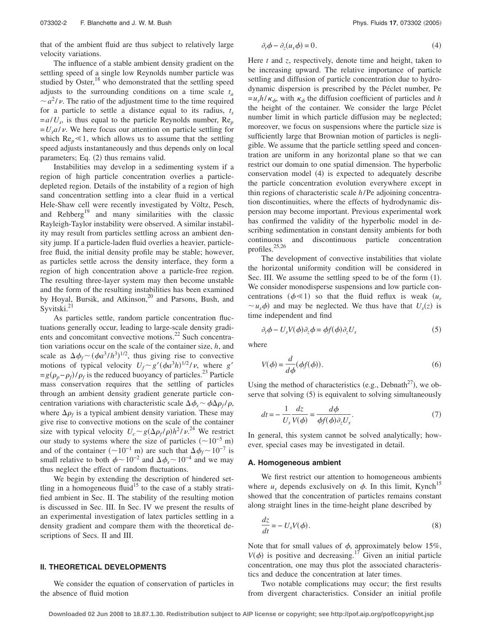that of the ambient fluid are thus subject to relatively large velocity variations.

The influence of a stable ambient density gradient on the settling speed of a single low Reynolds number particle was studied by Oster,<sup>18</sup> who demonstrated that the settling speed adjusts to the surrounding conditions on a time scale  $t_a$  $\sim a^2/\nu$ . The ratio of the adjustment time to the time required for a particle to settle a distance equal to its radius,  $t_s$  $=a/U_s$ , is thus equal to the particle Reynolds number, Re<sub>p</sub>  $=U_s a/v$ . We here focus our attention on particle settling for which  $\text{Re}_p \leq 1$ , which allows us to assume that the settling speed adjusts instantaneously and thus depends only on local parameters; Eq. (2) thus remains valid.

Instabilities may develop in a sedimenting system if a region of high particle concentration overlies a particledepleted region. Details of the instability of a region of high sand concentration settling into a clear fluid in a vertical Hele-Shaw cell were recently investigated by Völtz, Pesch, and Rehberg<sup>19</sup> and many similarities with the classic Rayleigh-Taylor instability were observed. A similar instability may result from particles settling across an ambient density jump. If a particle-laden fluid overlies a heavier, particlefree fluid, the initial density profile may be stable; however, as particles settle across the density interface, they form a region of high concentration above a particle-free region. The resulting three-layer system may then become unstable and the form of the resulting instabilities has been examined by Hoyal, Bursik, and Atkinson,<sup>20</sup> and Parsons, Bush, and Syvitski.<sup>2</sup>

As particles settle, random particle concentration fluctuations generally occur, leading to large-scale density gradients and concomitant convective motions.<sup>22</sup> Such concentration variations occur on the scale of the container size, *h*, and scale as  $\Delta \phi_f \sim (\phi a^3 / h^3)^{1/2}$ , thus giving rise to convective motions of typical velocity  $U_f \sim g'(\phi a^3 h)^{1/2}/\nu$ , where *g'*  $=g(\rho_p-\rho_f)/\rho_f$  is the reduced buoyancy of particles.<sup>23</sup> Particle mass conservation requires that the settling of particles through an ambient density gradient generate particle concentration variations with characteristic scale  $\Delta \phi_s \sim \phi \Delta \rho_f / \rho$ , where  $\Delta \rho_f$  is a typical ambient density variation. These may give rise to convective motions on the scale of the container size with typical velocity  $U_c \sim g(\Delta \rho_f / \rho) h^2 / \nu^2$ . We restrict our study to systems where the size of particles  $(~10^{-5} \text{ m})$ and of the container  $(\sim 10^{-1} \text{ m})$  are such that  $\Delta \phi_f \sim 10^{-7}$  is small relative to both  $\phi \sim 10^{-2}$  and  $\Delta \phi_s \sim 10^{-4}$  and we may thus neglect the effect of random fluctuations.

We begin by extending the description of hindered settling in a homogeneous fluid<sup>15</sup> to the case of a stably stratified ambient in Sec. II. The stability of the resulting motion is discussed in Sec. III. In Sec. IV we present the results of an experimental investigation of latex particles settling in a density gradient and compare them with the theoretical descriptions of Secs. II and III.

# **II. THEORETICAL DEVELOPMENTS**

We consider the equation of conservation of particles in the absence of fluid motion

$$
\partial_t \phi - \partial_z (u_s \phi) = 0. \tag{4}
$$

Here *t* and *z*, respectively, denote time and height, taken to be increasing upward. The relative importance of particle settling and diffusion of particle concentration due to hydrodynamic dispersion is prescribed by the Péclet number, Pe  $= u<sub>s</sub> h / \kappa<sub>ob</sub>$ , with  $\kappa<sub>ob</sub>$  the diffusion coefficient of particles and *h* the height of the container. We consider the large Péclet number limit in which particle diffusion may be neglected; moreover, we focus on suspensions where the particle size is sufficiently large that Brownian motion of particles is negligible. We assume that the particle settling speed and concentration are uniform in any horizontal plane so that we can restrict our domain to one spatial dimension. The hyperbolic conservation model (4) is expected to adequately describe the particle concentration evolution everywhere except in thin regions of characteristic scale *h*/Pe adjoining concentration discontinuities, where the effects of hydrodynamic dispersion may become important. Previous experimental work has confirmed the validity of the hyperbolic model in describing sedimentation in constant density ambients for both continuous and discontinuous particle concentration profiles.25,26

The development of convective instabilities that violate the horizontal uniformity condition will be considered in Sec. III. We assume the settling speed to be of the form (1). We consider monodisperse suspensions and low particle concentrations  $(\phi \ll 1)$  so that the fluid reflux is weak  $(u_r)$  $\sim u_s \phi$ ) and may be neglected. We thus have that  $U_s(z)$  is time independent and find

$$
\partial_t \phi - U_s V(\phi) \partial_z \phi = \phi f(\phi) \partial_z U_s \tag{5}
$$

where

$$
V(\phi) = \frac{d}{d\phi}(\phi f(\phi)).
$$
\n(6)

Using the method of characteristics (e.g., Debnath<sup>27</sup>), we observe that solving (5) is equivalent to solving simultaneously

$$
dt = -\frac{1}{U_s} \frac{dz}{V(\phi)} = \frac{d\phi}{\phi f(\phi)\partial_z U_s}.
$$
\n(7)

In general, this system cannot be solved analytically; however, special cases may be investigated in detail.

#### **A. Homogeneous ambient**

We first restrict our attention to homogeneous ambients where  $u_s$  depends exclusively on  $\phi$ . In this limit, Kynch<sup>15</sup> showed that the concentration of particles remains constant along straight lines in the time-height plane described by

$$
\frac{dz}{dt} = -U_s V(\phi). \tag{8}
$$

Note that for small values of  $\phi$ , approximately below 15%,  $V(\phi)$  is positive and decreasing.<sup>17</sup> Given an initial particle concentration, one may thus plot the associated characteristics and deduce the concentration at later times.

Two notable complications may occur; the first results from divergent characteristics. Consider an initial profile

**Downloaded 02 Jun 2008 to 18.87.1.30. Redistribution subject to AIP license or copyright; see http://pof.aip.org/pof/copyright.jsp**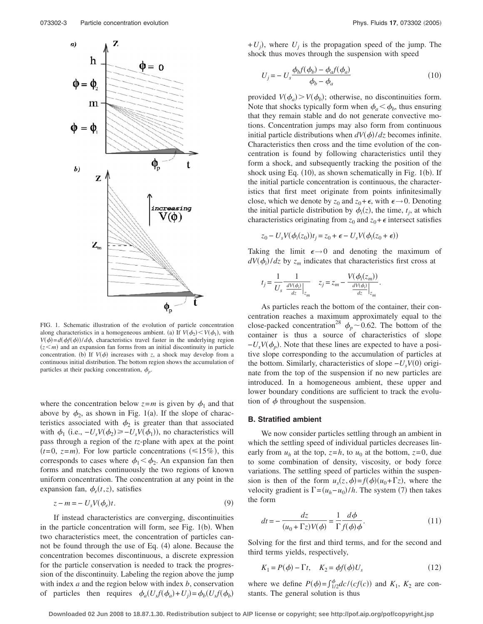

FIG. 1. Schematic illustration of the evolution of particle concentration along characteristics in a homogeneous ambient. (a) If  $V(\phi_2) < V(\phi_1)$ , with  $V(\phi) = d(\phi f(\phi)) / d\phi$ , characteristics travel faster in the underlying region  $(z \leq m)$  and an expansion fan forms from an initial discontinuity in particle concentration. (b) If  $V(\phi)$  increases with *z*, a shock may develop from a continuous initial distribution. The bottom region shows the accumulation of particles at their packing concentration,  $\phi_n$ 

where the concentration below  $z = m$  is given by  $\phi_1$  and that above by  $\phi_2$ , as shown in Fig. 1(a). If the slope of characteristics associated with  $\phi_2$  is greater than that associated with  $\phi_1$  (i.e.,  $-U_s V(\phi_2) \geq -U_s V(\phi_1)$ ), no characteristics will pass through a region of the *tz*-plane with apex at the point  $(t=0, z=m)$ . For low particle concentrations ( $\leq 15\%$ ), this corresponds to cases where  $\phi_1 \le \phi_2$ . An expansion fan then forms and matches continuously the two regions of known uniform concentration. The concentration at any point in the expansion fan,  $\phi_e(t, z)$ , satisfies

$$
z - m = -U_s V(\phi_e) t. \tag{9}
$$

If instead characteristics are converging, discontinuities in the particle concentration will form, see Fig. 1(b). When two characteristics meet, the concentration of particles cannot be found through the use of Eq. (4) alone. Because the concentration becomes discontinuous, a discrete expression for the particle conservation is needed to track the progression of the discontinuity. Labeling the region above the jump with index *a* and the region below with index *b*, conservation of particles then requires  $\phi_a(U_s f(\phi_a) + U_j) = \phi_b(U_s f(\phi_b))$ 

 $+U_j$ ), where  $U_j$  is the propagation speed of the jump. The shock thus moves through the suspension with speed

$$
U_j = -U_s \frac{\phi_b f(\phi_b) - \phi_a f(\phi_a)}{\phi_b - \phi_a} \tag{10}
$$

provided  $V(\phi_a) > V(\phi_b)$ ; otherwise, no discontinuities form. Note that shocks typically form when  $\phi_a < \phi_b$ , thus ensuring that they remain stable and do not generate convective motions. Concentration jumps may also form from continuous initial particle distributions when  $dV(\phi)/dz$  becomes infinite. Characteristics then cross and the time evolution of the concentration is found by following characteristics until they form a shock, and subsequently tracking the position of the shock using Eq. (10), as shown schematically in Fig. 1(b). If the initial particle concentration is continuous, the characteristics that first meet originate from points infinitesimally close, which we denote by  $z_0$  and  $z_0 + \epsilon$ , with  $\epsilon \rightarrow 0$ . Denoting the initial particle distribution by  $\phi_i(z)$ , the time,  $t_j$ , at which characteristics originating from  $z_0$  and  $z_0 + \epsilon$  intersect satisfies

$$
z_0 - U_s V(\phi_i(z_0)) t_j = z_0 + \epsilon - U_s V(\phi_i(z_0 + \epsilon))
$$

Taking the limit  $\epsilon \rightarrow 0$  and denoting the maximum of  $dV(\phi_i)/dz$  by  $z_m$  indicates that characteristics first cross at

$$
t_j = \frac{1}{U_s} \frac{1}{\left. \frac{dV(\phi_i)}{dz} \right|_{z_m}} \quad z_j = z_m - \frac{V(\phi_i(z_m))}{\left. \frac{dV(\phi_i)}{dz} \right|_{z_m}}.
$$

As particles reach the bottom of the container, their concentration reaches a maximum approximately equal to the close-packed concentration<sup>28</sup>  $\phi_n \sim 0.62$ . The bottom of the container is thus a source of characteristics of slope  $-U_sV(\phi_p)$ . Note that these lines are expected to have a positive slope corresponding to the accumulation of particles at the bottom. Similarly, characteristics of slope  $-U_sV(0)$  originate from the top of the suspension if no new particles are introduced. In a homogeneous ambient, these upper and lower boundary conditions are sufficient to track the evolution of  $\phi$  throughout the suspension.

#### **B. Stratified ambient**

We now consider particles settling through an ambient in which the settling speed of individual particles decreases linearly from  $u_h$  at the top,  $z=h$ , to  $u_0$  at the bottom,  $z=0$ , due to some combination of density, viscosity, or body force variations. The settling speed of particles within the suspension is then of the form  $u_s(z, \phi) = f(\phi)(u_0 + \Gamma z)$ , where the velocity gradient is  $\Gamma = (u_h - u_0)/h$ . The system (7) then takes the form

$$
dt = -\frac{dz}{(u_0 + \Gamma z)V(\phi)} = \frac{1}{\Gamma} \frac{d\phi}{f(\phi)\phi}.
$$
 (11)

Solving for the first and third terms, and for the second and third terms yields, respectively,

$$
K_1 = P(\phi) - \Gamma t, \quad K_2 = \phi f(\phi) U_s \tag{12}
$$

where we define  $P(\phi) = \int_{1/2}^{b} \frac{d}{c} \cdot f(c f(c))$  and  $K_1$ ,  $K_2$  are constants. The general solution is thus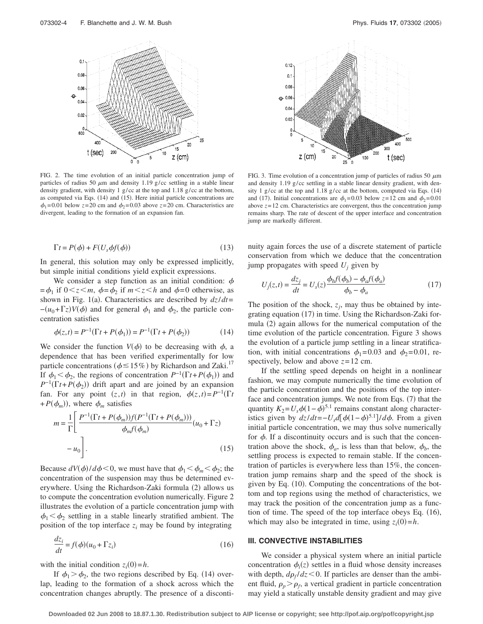

FIG. 2. The time evolution of an initial particle concentration jump of particles of radius 50  $\mu$ m and density 1.19 g/cc settling in a stable linear density gradient, with density 1 g/cc at the top and 1.18 g/cc at the bottom, as computed via Eqs. (14) and (15). Here initial particle concentrations are  $\phi_1$ = 0.01 below *z*= 20 cm and  $\phi_2$ = 0.03 above *z*= 20 cm. Characteristics are divergent, leading to the formation of an expansion fan.

$$
\Gamma t = P(\phi) + F(U_s \phi f(\phi))
$$
\n(13)

In general, this solution may only be expressed implicitly, but simple initial conditions yield explicit expressions.

We consider a step function as an initial condition:  $\phi$  $=\phi_1$  if  $0 < z < m$ ,  $\phi = \phi_2$  if  $m < z < h$  and  $\phi = 0$  otherwise, as shown in Fig. 1(a). Characteristics are described by  $dz/dt=$  $-(u_0 + \Gamma z)V(\phi)$  and for general  $\phi_1$  and  $\phi_2$ , the particle concentration satisfies

$$
\phi(z,t) = P^{-1}(\Gamma t + P(\phi_1)) = P^{-1}(\Gamma t + P(\phi_2))
$$
\n(14)

We consider the function  $V(\phi)$  to be decreasing with  $\phi$ , a dependence that has been verified experimentally for low particle concentrations ( $\phi \lesssim 15\%$ ) by Richardson and Zaki.<sup>17</sup> If  $\phi_1 < \phi_2$ , the regions of concentration  $P^{-1}(\Gamma t + P(\phi_1))$  and  $P^{-1}(\Gamma t + P(\phi_2))$  drift apart and are joined by an expansion fan. For any point  $(z, t)$  in that region,  $\phi(z, t) = P^{-1}(\Gamma t)$  $+P(\phi_m)$ , where  $\phi_m$  satisfies

$$
m = \frac{1}{\Gamma} \left[ \frac{P^{-1}(\Gamma t + P(\phi_m)) f(P^{-1}(\Gamma t + P(\phi_m)))}{\phi_m f(\phi_m)} (u_0 + \Gamma z) - u_0 \right].
$$
\n(15)

Because  $dV(\phi)/d\phi < 0$ , we must have that  $\phi_1 < \phi_m < \phi_2$ ; the concentration of the suspension may thus be determined everywhere. Using the Richardson-Zaki formula (2) allows us to compute the concentration evolution numerically. Figure 2 illustrates the evolution of a particle concentration jump with  $\phi_1 \leq \phi_2$  settling in a stable linearly stratified ambient. The position of the top interface  $z_i$  may be found by integrating

$$
\frac{dz_i}{dt} = f(\phi)(u_0 + \Gamma z_i)
$$
\n(16)

with the initial condition  $z_i(0) = h$ .

If  $\phi_1 > \phi_2$ , the two regions described by Eq. (14) overlap, leading to the formation of a shock across which the concentration changes abruptly. The presence of a disconti-



FIG. 3. Time evolution of a concentration jump of particles of radius 50  $\mu$ m and density 1.19 g/cc settling in a stable linear density gradient, with density 1 g/cc at the top and 1.18 g/cc at the bottom, computed via Eqs.  $(14)$ and (17). Initial concentrations are  $\phi_1 = 0.03$  below  $z = 12$  cm and  $\phi_2 = 0.01$ above  $z = 12$  cm. Characteristics are convergent, thus the concentration jump remains sharp. The rate of descent of the upper interface and concentration jump are markedly different.

nuity again forces the use of a discrete statement of particle conservation from which we deduce that the concentration jump propagates with speed  $U_i$  given by

$$
U_j(z,t) = \frac{dz_j}{dt} = U_s(z)\frac{\phi_b f(\phi_b) - \phi_a f(\phi_a)}{\phi_b - \phi_a}
$$
(17)

The position of the shock,  $z_j$ , may thus be obtained by integrating equation (17) in time. Using the Richardson-Zaki formula (2) again allows for the numerical computation of the time evolution of the particle concentration. Figure 3 shows the evolution of a particle jump settling in a linear stratification, with initial concentrations  $\phi_1 = 0.03$  and  $\phi_2 = 0.01$ , respectively, below and above  $z = 12$  cm.

If the settling speed depends on height in a nonlinear fashion, we may compute numerically the time evolution of the particle concentration and the positions of the top interface and concentration jumps. We note from Eqs. (7) that the quantity  $K_2 = U_s \phi (1 - \phi)^{5.1}$  remains constant along characteristics given by  $dz/dt = -U_s d[\phi(1-\phi)^{5.1}]/d\phi$ . From a given initial particle concentration, we may thus solve numerically for  $\phi$ . If a discontinuity occurs and is such that the concentration above the shock,  $\phi_a$ , is less than that below,  $\phi_b$ , the settling process is expected to remain stable. If the concentration of particles is everywhere less than 15%, the concentration jump remains sharp and the speed of the shock is given by Eq. (10). Computing the concentrations of the bottom and top regions using the method of characteristics, we may track the position of the concentration jump as a function of time. The speed of the top interface obeys Eq. (16), which may also be integrated in time, using  $z_i(0) = h$ .

# **III. CONVECTIVE INSTABILITIES**

We consider a physical system where an initial particle concentration  $\phi_i(z)$  settles in a fluid whose density increases with depth,  $d\rho_f/dz \leq 0$ . If particles are denser than the ambient fluid,  $\rho_p > \rho_f$ , a vertical gradient in particle concentration may yield a statically unstable density gradient and may give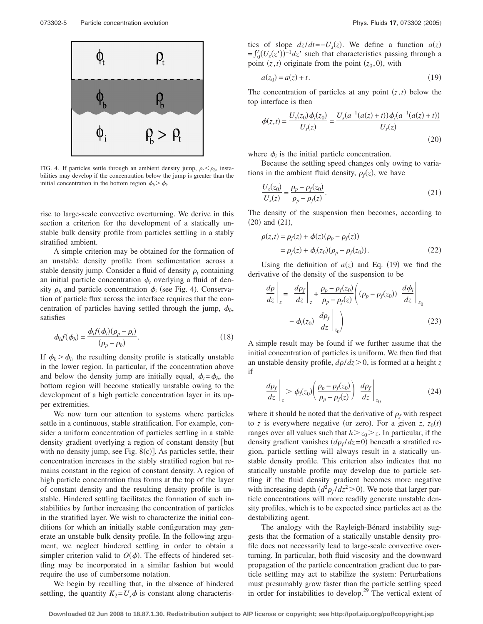

FIG. 4. If particles settle through an ambient density jump,  $\rho_t < \rho_b$ , instabilities may develop if the concentration below the jump is greater than the initial concentration in the bottom region  $\phi_b > \phi_i$ .

rise to large-scale convective overturning. We derive in this section a criterion for the development of a statically unstable bulk density profile from particles settling in a stably stratified ambient.

A simple criterion may be obtained for the formation of an unstable density profile from sedimentation across a stable density jump. Consider a fluid of density  $\rho_t$  containing an initial particle concentration  $\phi_t$  overlying a fluid of density  $\rho_b$  and particle concentration  $\phi_i$  (see Fig. 4). Conservation of particle flux across the interface requires that the concentration of particles having settled through the jump,  $\phi_h$ , satisfies

$$
\phi_{h}f(\phi_{b}) = \frac{\phi_{t}f(\phi_{t})(\rho_{p} - \rho_{t})}{(\rho_{p} - \rho_{b})}.
$$
\n(18)

If  $\phi_b > \phi_i$ , the resulting density profile is statically unstable in the lower region. In particular, if the concentration above and below the density jump are initially equal,  $\phi_t = \phi_b$ , the bottom region will become statically unstable owing to the development of a high particle concentration layer in its upper extremities.

We now turn our attention to systems where particles settle in a continuous, stable stratification. For example, consider a uniform concentration of particles settling in a stable density gradient overlying a region of constant density [but with no density jump, see Fig.  $8(c)$ ]. As particles settle, their concentration increases in the stably stratified region but remains constant in the region of constant density. A region of high particle concentration thus forms at the top of the layer of constant density and the resulting density profile is unstable. Hindered settling facilitates the formation of such instabilities by further increasing the concentration of particles in the stratified layer. We wish to characterize the initial conditions for which an initially stable configuration may generate an unstable bulk density profile. In the following argument, we neglect hindered settling in order to obtain a simpler criterion valid to  $O(\phi)$ . The effects of hindered settling may be incorporated in a similar fashion but would require the use of cumbersome notation.

We begin by recalling that, in the absence of hindered settling, the quantity  $K_2 = U_s \phi$  is constant along characteristics of slope  $dz/dt = -U_s(z)$ . We define a function  $a(z)$  $=\int_0^z (U_s(z'))^{-1} dz'$  such that characteristics passing through a point  $(z, t)$  originate from the point  $(z_0, 0)$ , with

$$
a(z_0) = a(z) + t.
$$
 (19)

The concentration of particles at any point  $(z, t)$  below the top interface is then

$$
\phi(z,t) = \frac{U_s(z_0)\phi_i(z_0)}{U_s(z)} = \frac{U_s(a^{-1}(a(z)+t))\phi_i(a^{-1}(a(z)+t))}{U_s(z)}
$$
(20)

where  $\phi_i$  is the initial particle concentration.

Because the settling speed changes only owing to variations in the ambient fluid density,  $\rho_f(z)$ , we have

$$
\frac{U_s(z_0)}{U_s(z)} = \frac{\rho_p - \rho_f(z_0)}{\rho_p - \rho_f(z)}.
$$
\n(21)

The density of the suspension then becomes, according to  $(20)$  and  $(21)$ ,

$$
\rho(z,t) = \rho_f(z) + \phi(z)(\rho_p - \rho_f(z)) \n= \rho_f(z) + \phi_i(z_0)(\rho_p - \rho_f(z_0)).
$$
\n(22)

Using the definition of  $a(z)$  and Eq. (19) we find the derivative of the density of the suspension to be

$$
\frac{d\rho}{dz}\bigg|_{z} = \frac{d\rho_f}{dz}\bigg|_{z} + \frac{\rho_p - \rho_f(z_0)}{\rho_p - \rho_f(z)}\bigg((\rho_p - \rho_f(z_0))\frac{d\phi_i}{dz}\bigg|_{z_0} - \phi_i(z_0)\frac{d\rho_f}{dz}\bigg|_{z_0}\bigg) \tag{23}
$$

A simple result may be found if we further assume that the initial concentration of particles is uniform. We then find that an unstable density profile,  $d\rho/dz > 0$ , is formed at a height *z* if

$$
\left. \frac{d\rho_f}{dz} \right|_z > \phi_i(z_0) \left( \frac{\rho_p - \rho_f(z_0)}{\rho_p - \rho_f(z)} \right) \left. \frac{d\rho_f}{dz} \right|_{z_0} \tag{24}
$$

where it should be noted that the derivative of  $\rho_f$  with respect to *z* is everywhere negative (or zero). For a given *z*,  $z_0(t)$ ranges over all values such that  $h > z_0 > z$ . In particular, if the density gradient vanishes  $\left(\frac{d\rho_f}{dz}=0\right)$  beneath a stratified region, particle settling will always result in a statically unstable density profile. This criterion also indicates that no statically unstable profile may develop due to particle settling if the fluid density gradient becomes more negative with increasing depth  $\left(\frac{d^2 \rho_f}{dz^2} > 0\right)$ . We note that larger particle concentrations will more readily generate unstable density profiles, which is to be expected since particles act as the destabilizing agent.

The analogy with the Rayleigh-Bénard instability suggests that the formation of a statically unstable density profile does not necessarily lead to large-scale convective overturning. In particular, both fluid viscosity and the downward propagation of the particle concentration gradient due to particle settling may act to stabilize the system: Perturbations must presumably grow faster than the particle settling speed in order for instabilities to develop.<sup>29</sup> The vertical extent of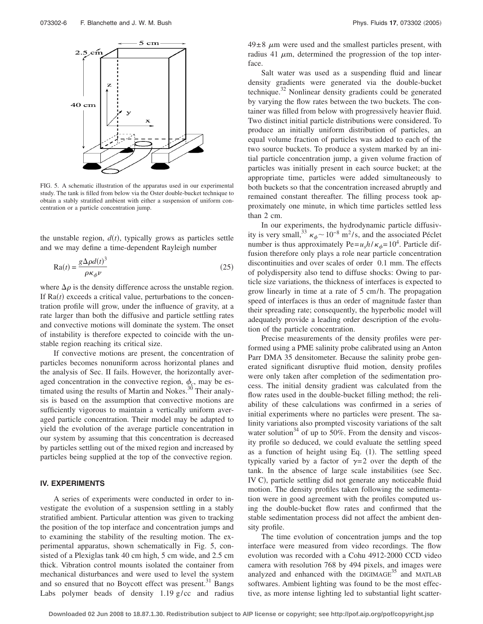

FIG. 5. A schematic illustration of the apparatus used in our experimental study. The tank is filled from below via the Oster double-bucket technique to obtain a stably stratified ambient with either a suspension of uniform concentration or a particle concentration jump.

the unstable region,  $d(t)$ , typically grows as particles settle and we may define a time-dependent Rayleigh number

$$
Ra(t) = \frac{g\Delta\rho d(t)^3}{\rho\kappa_\phi\nu} \tag{25}
$$

where  $\Delta \rho$  is the density difference across the unstable region. If  $Ra(t)$  exceeds a critical value, perturbations to the concentration profile will grow, under the influence of gravity, at a rate larger than both the diffusive and particle settling rates and convective motions will dominate the system. The onset of instability is therefore expected to coincide with the unstable region reaching its critical size.

If convective motions are present, the concentration of particles becomes nonuniform across horizontal planes and the analysis of Sec. II fails. However, the horizontally averaged concentration in the convective region,  $\phi_c$ , may be estimated using the results of Martin and Nokes. $30$  Their analysis is based on the assumption that convective motions are sufficiently vigorous to maintain a vertically uniform averaged particle concentration. Their model may be adapted to yield the evolution of the average particle concentration in our system by assuming that this concentration is decreased by particles settling out of the mixed region and increased by particles being supplied at the top of the convective region.

## **IV. EXPERIMENTS**

A series of experiments were conducted in order to investigate the evolution of a suspension settling in a stably stratified ambient. Particular attention was given to tracking the position of the top interface and concentration jumps and to examining the stability of the resulting motion. The experimental apparatus, shown schematically in Fig. 5, consisted of a Plexiglas tank 40 cm high, 5 cm wide, and 2.5 cm thick. Vibration control mounts isolated the container from mechanical disturbances and were used to level the system and so ensured that no Boycott effect was present.<sup>31</sup> Bangs Labs polymer beads of density 1.19 g/cc and radius  $49\pm8$  µm were used and the smallest particles present, with radius 41  $\mu$ m, determined the progression of the top interface.

Salt water was used as a suspending fluid and linear density gradients were generated via the double-bucket technique.<sup>32</sup> Nonlinear density gradients could be generated by varying the flow rates between the two buckets. The container was filled from below with progressively heavier fluid. Two distinct initial particle distributions were considered. To produce an initially uniform distribution of particles, an equal volume fraction of particles was added to each of the two source buckets. To produce a system marked by an initial particle concentration jump, a given volume fraction of particles was initially present in each source bucket; at the appropriate time, particles were added simultaneously to both buckets so that the concentration increased abruptly and remained constant thereafter. The filling process took approximately one minute, in which time particles settled less than 2 cm.

In our experiments, the hydrodynamic particle diffusivity is very small,<sup>33</sup>  $\kappa_A \sim 10^{-8}$  m<sup>2</sup>/s, and the associated Péclet number is thus approximately  $Pe = u_s h / \kappa_\phi = 10^4$ . Particle diffusion therefore only plays a role near particle concentration discontinuities and over scales of order 0.1 mm. The effects of polydispersity also tend to diffuse shocks: Owing to particle size variations, the thickness of interfaces is expected to grow linearly in time at a rate of 5 cm/h. The propagation speed of interfaces is thus an order of magnitude faster than their spreading rate; consequently, the hyperbolic model will adequately provide a leading order description of the evolution of the particle concentration.

Precise measurements of the density profiles were performed using a PME salinity probe calibrated using an Anton Parr DMA 35 densitometer. Because the salinity probe generated significant disruptive fluid motion, density profiles were only taken after completion of the sedimentation process. The initial density gradient was calculated from the flow rates used in the double-bucket filling method; the reliability of these calculations was confirmed in a series of initial experiments where no particles were present. The salinity variations also prompted viscosity variations of the salt water solution<sup>34</sup> of up to 50%. From the density and viscosity profile so deduced, we could evaluate the settling speed as a function of height using Eq. (1). The settling speed typically varied by a factor of  $\gamma = 2$  over the depth of the tank. In the absence of large scale instabilities (see Sec. IV C), particle settling did not generate any noticeable fluid motion. The density profiles taken following the sedimentation were in good agreement with the profiles computed using the double-bucket flow rates and confirmed that the stable sedimentation process did not affect the ambient density profile.

The time evolution of concentration jumps and the top interface were measured from video recordings. The flow evolution was recorded with a Cohu 4912-2000 CCD video camera with resolution 768 by 494 pixels, and images were analyzed and enhanced with the DIGIMAGE<sup>35</sup> and MATLAB softwares. Ambient lighting was found to be the most effective, as more intense lighting led to substantial light scatter-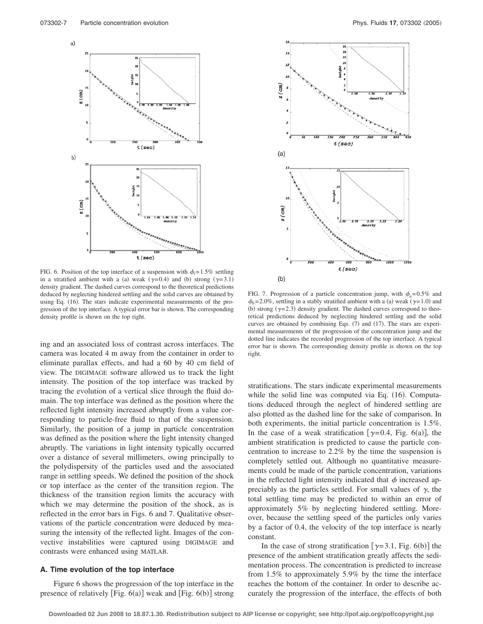

FIG. 6. Position of the top interface of a suspension with  $\phi_i = 1.5\%$  settling in a stratified ambient with a (a) weak ( $\gamma$ =0.4) and (b) strong ( $\gamma$ =3.1) density gradient. The dashed curves correspond to the theoretical predictions deduced by neglecting hindered settling and the solid curves are obtained by using Eq. (16). The stars indicate experimental measurements of the progression of the top interface. A typical error bar is shown. The corresponding density profile is shown on the top right.

ing and an associated loss of contrast across interfaces. The camera was located 4 m away from the container in order to eliminate parallax effects, and had a 60 by 40 cm field of view. The DIGIMAGE software allowed us to track the light intensity. The position of the top interface was tracked by tracing the evolution of a vertical slice through the fluid domain. The top interface was defined as the position where the reflected light intensity increased abruptly from a value corresponding to particle-free fluid to that of the suspension. Similarly, the position of a jump in particle concentration was defined as the position where the light intensity changed abruptly. The variations in light intensity typically occurred over a distance of several millimeters, owing principally to the polydispersity of the particles used and the associated range in settling speeds. We defined the position of the shock or top interface as the center of the transition region. The thickness of the transition region limits the accuracy with which we may determine the position of the shock, as is reflected in the error bars in Figs. 6 and 7. Qualitative observations of the particle concentration were deduced by measuring the intensity of the reflected light. Images of the convective instabilities were captured using DIGIMAGE and contrasts were enhanced using MATLAB.

#### **A. Time evolution of the top interface**

Figure 6 shows the progression of the top interface in the presence of relatively [Fig.  $6(a)$ ] weak and [Fig.  $6(b)$ ] strong



FIG. 7. Progression of a particle concentration jump, with  $\phi_a = 0.5\%$  and  $\phi_b = 2.0\%$ , settling in a stably stratified ambient with a (a) weak ( $\gamma = 1.0$ ) and (b) strong  $(\gamma = 2.3)$  density gradient. The dashed curves correspond to theoretical predictions deduced by neglecting hindered settling and the solid curves are obtained by combining Eqs. (7) and (17). The stars are experimental measurements of the progression of the concentration jump and the dotted line indicates the recorded progression of the top interface. A typical error bar is shown. The corresponding density profile is shown on the top right.

stratifications. The stars indicate experimental measurements while the solid line was computed via Eq. (16). Computations deduced through the neglect of hindered settling are also plotted as the dashed line for the sake of comparison. In both experiments, the initial particle concentration is 1.5%. In the case of a weak stratification  $[\gamma=0.4,$  Fig. 6(a)], the ambient stratification is predicted to cause the particle concentration to increase to 2.2% by the time the suspension is completely settled out. Although no quantitative measurements could be made of the particle concentration, variations in the reflected light intensity indicated that  $\phi$  increased appreciably as the particles settled. For small values of  $\gamma$ , the total settling time may be predicted to within an error of approximately 5% by neglecting hindered settling. Moreover, because the settling speed of the particles only varies by a factor of 0.4, the velocity of the top interface is nearly constant.

In the case of strong stratification  $[\gamma=3.1, \text{Fig. 6(b)}]$  the presence of the ambient stratification greatly affects the sedimentation process. The concentration is predicted to increase from 1.5% to approximately 5.9% by the time the interface reaches the bottom of the container. In order to describe accurately the progression of the interface, the effects of both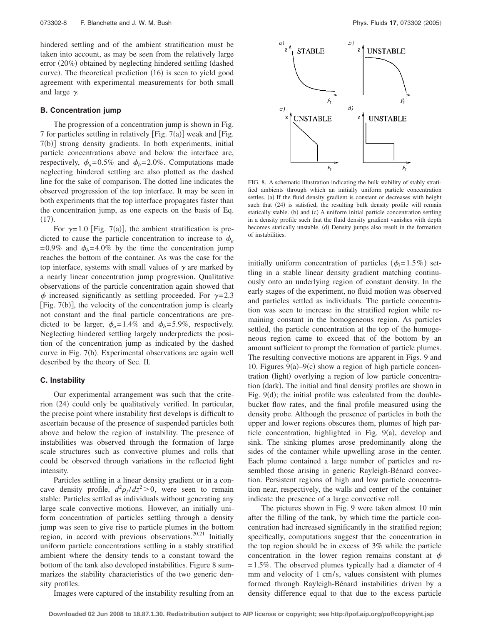hindered settling and of the ambient stratification must be taken into account, as may be seen from the relatively large error (20%) obtained by neglecting hindered settling (dashed curve). The theoretical prediction (16) is seen to yield good agreement with experimental measurements for both small and large  $\gamma$ .

# **B. Concentration jump**

The progression of a concentration jump is shown in Fig. 7 for particles settling in relatively  $[Fig. 7(a)]$  weak and  $[Fig. 7(a)]$ 7(b)] strong density gradients. In both experiments, initial particle concentrations above and below the interface are, respectively,  $\phi_a = 0.5\%$  and  $\phi_b = 2.0\%$ . Computations made neglecting hindered settling are also plotted as the dashed line for the sake of comparison. The dotted line indicates the observed progression of the top interface. It may be seen in both experiments that the top interface propagates faster than the concentration jump, as one expects on the basis of Eq.  $(17).$ 

For  $\gamma = 1.0$  [Fig. 7(a)], the ambient stratification is predicted to cause the particle concentration to increase to  $\phi_a$  $= 0.9\%$  and  $\phi_b = 4.0\%$  by the time the concentration jump reaches the bottom of the container. As was the case for the top interface, systems with small values of  $\gamma$  are marked by a nearly linear concentration jump progression. Qualitative observations of the particle concentration again showed that  $\phi$  increased significantly as settling proceeded. For  $\gamma = 2.3$ [Fig. 7(b)], the velocity of the concentration jump is clearly not constant and the final particle concentrations are predicted to be larger,  $\phi_a = 1.4\%$  and  $\phi_b = 5.9\%$ , respectively. Neglecting hindered settling largely underpredicts the position of the concentration jump as indicated by the dashed curve in Fig. 7(b). Experimental observations are again well described by the theory of Sec. II.

# **C. Instability**

Our experimental arrangement was such that the criterion (24) could only be qualitatively verified. In particular, the precise point where instability first develops is difficult to ascertain because of the presence of suspended particles both above and below the region of instability. The presence of instabilities was observed through the formation of large scale structures such as convective plumes and rolls that could be observed through variations in the reflected light intensity.

Particles settling in a linear density gradient or in a concave density profile,  $d^2 \rho_f / dz^2 > 0$ , were seen to remain stable: Particles settled as individuals without generating any large scale convective motions. However, an initially uniform concentration of particles settling through a density jump was seen to give rise to particle plumes in the bottom region, in accord with previous observations.<sup>20,21</sup> Initially uniform particle concentrations settling in a stably stratified ambient where the density tends to a constant toward the bottom of the tank also developed instabilities. Figure 8 summarizes the stability characteristics of the two generic density profiles.

Images were captured of the instability resulting from an



FIG. 8. A schematic illustration indicating the bulk stability of stably stratified ambients through which an initially uniform particle concentration settles. (a) If the fluid density gradient is constant or decreases with height such that (24) is satisfied, the resulting bulk density profile will remain statically stable. (b) and (c) A uniform initial particle concentration settling in a density profile such that the fluid density gradient vanishes with depth becomes statically unstable. (d) Density jumps also result in the formation of instabilities.

initially uniform concentration of particles  $(\phi_i = 1.5\%)$  settling in a stable linear density gradient matching continuously onto an underlying region of constant density. In the early stages of the experiment, no fluid motion was observed and particles settled as individuals. The particle concentration was seen to increase in the stratified region while remaining constant in the homogeneous region. As particles settled, the particle concentration at the top of the homogeneous region came to exceed that of the bottom by an amount sufficient to prompt the formation of particle plumes. The resulting convective motions are apparent in Figs. 9 and 10. Figures  $9(a) - 9(c)$  show a region of high particle concentration (light) overlying a region of low particle concentration (dark). The initial and final density profiles are shown in Fig. 9(d); the initial profile was calculated from the doublebucket flow rates, and the final profile measured using the density probe. Although the presence of particles in both the upper and lower regions obscures them, plumes of high particle concentration, highlighted in Fig.  $9(a)$ , develop and sink. The sinking plumes arose predominantly along the sides of the container while upwelling arose in the center. Each plume contained a large number of particles and resembled those arising in generic Rayleigh-Bénard convection. Persistent regions of high and low particle concentration near, respectively, the walls and center of the container indicate the presence of a large convective roll.

The pictures shown in Fig. 9 were taken almost 10 min after the filling of the tank, by which time the particle concentration had increased significantly in the stratified region; specifically, computations suggest that the concentration in the top region should be in excess of 3% while the particle concentration in the lower region remains constant at  $\phi$  $= 1.5\%$ . The observed plumes typically had a diameter of 4 mm and velocity of 1 cm/s, values consistent with plumes formed through Rayleigh-Bénard instabilities driven by a density difference equal to that due to the excess particle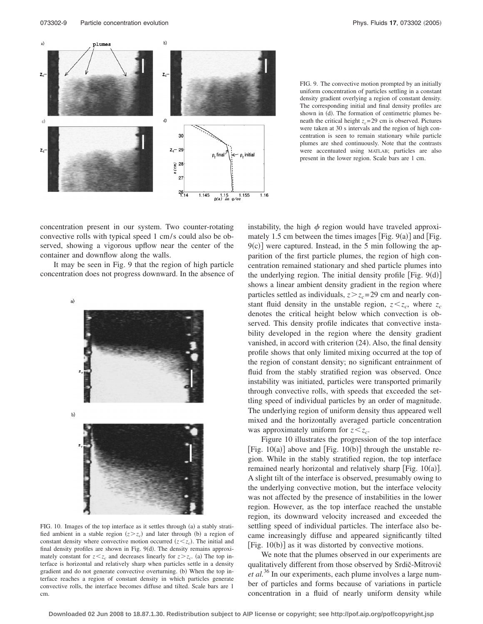

FIG. 9. The convective motion prompted by an initially uniform concentration of particles settling in a constant density gradient overlying a region of constant density. The corresponding initial and final density profiles are shown in (d). The formation of centimetric plumes beneath the critical height  $z_c$ = 29 cm is observed. Pictures were taken at 30 s intervals and the region of high concentration is seen to remain stationary while particle plumes are shed continuously. Note that the contrasts were accentuated using MATLAB; particles are also present in the lower region. Scale bars are 1 cm.

concentration present in our system. Two counter-rotating convective rolls with typical speed 1 cm/s could also be observed, showing a vigorous upflow near the center of the container and downflow along the walls.

It may be seen in Fig. 9 that the region of high particle concentration does not progress downward. In the absence of

> $a)$ b)

FIG. 10. Images of the top interface as it settles through (a) a stably stratified ambient in a stable region  $(z \gt z_c)$  and later through (b) a region of constant density where convective motion occurred  $(z \lt z_c)$ . The initial and final density profiles are shown in Fig. 9(d). The density remains approximately constant for  $z \leq z_c$  and decreases linearly for  $z \geq z_c$ . (a) The top interface is horizontal and relatively sharp when particles settle in a density gradient and do not generate convective overturning. (b) When the top interface reaches a region of constant density in which particles generate convective rolls, the interface becomes diffuse and tilted. Scale bars are 1 cm.

instability, the high  $\phi$  region would have traveled approximately 1.5 cm between the times images  $[Fig. 9(a)]$  and  $[Fig. 1.5]$ 9(c)] were captured. Instead, in the 5 min following the apparition of the first particle plumes, the region of high concentration remained stationary and shed particle plumes into the underlying region. The initial density profile  $[Fig. 9(d)]$ shows a linear ambient density gradient in the region where particles settled as individuals,  $z \geq z_c = 29$  cm and nearly constant fluid density in the unstable region,  $z \leq z_c$ , where  $z_c$ denotes the critical height below which convection is observed. This density profile indicates that convective instability developed in the region where the density gradient vanished, in accord with criterion (24). Also, the final density profile shows that only limited mixing occurred at the top of the region of constant density; no significant entrainment of fluid from the stably stratified region was observed. Once instability was initiated, particles were transported primarily through convective rolls, with speeds that exceeded the settling speed of individual particles by an order of magnitude. The underlying region of uniform density thus appeared well mixed and the horizontally averaged particle concentration was approximately uniform for  $z \leq z_c$ .

Figure 10 illustrates the progression of the top interface [Fig.  $10(a)$ ] above and [Fig.  $10(b)$ ] through the unstable region. While in the stably stratified region, the top interface remained nearly horizontal and relatively sharp [Fig.  $10(a)$ ]. A slight tilt of the interface is observed, presumably owing to the underlying convective motion, but the interface velocity was not affected by the presence of instabilities in the lower region. However, as the top interface reached the unstable region, its downward velocity increased and exceeded the settling speed of individual particles. The interface also became increasingly diffuse and appeared significantly tilted [Fig. 10(b)] as it was distorted by convective motions.

We note that the plumes observed in our experiments are qualitatively different from those observed by Srdič-Mitrovič *et al.*<sup>36</sup> In our experiments, each plume involves a large number of particles and forms because of variations in particle concentration in a fluid of nearly uniform density while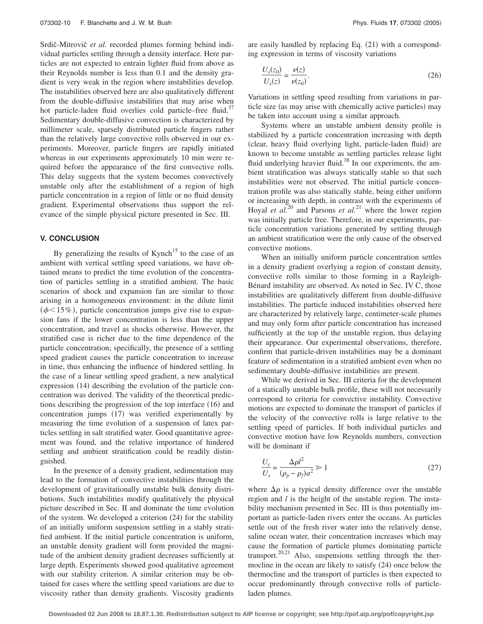Srdič-Mitrovič *et al.* recorded plumes forming behind individual particles settling through a density interface. Here particles are not expected to entrain lighter fluid from above as their Reynolds number is less than 0.1 and the density gradient is very weak in the region where instabilities develop. The instabilities observed here are also qualitatively different from the double-diffusive instabilities that may arise when hot particle-laden fluid overlies cold particle–free fluid. $37$ Sedimentary double-diffusive convection is characterized by millimeter scale, sparsely distributed particle fingers rather than the relatively large convective rolls observed in our experiments. Moreover, particle fingers are rapidly initiated whereas in our experiments approximately 10 min were required before the appearance of the first convective rolls. This delay suggests that the system becomes convectively unstable only after the establishment of a region of high particle concentration in a region of little or no fluid density gradient. Experimental observations thus support the relevance of the simple physical picture presented in Sec. III.

# **V. CONCLUSION**

By generalizing the results of  $K$ ynch<sup>15</sup> to the case of an ambient with vertical settling speed variations, we have obtained means to predict the time evolution of the concentration of particles settling in a stratified ambient. The basic scenarios of shock and expansion fan are similar to those arising in a homogeneous environment: in the dilute limit  $(\phi \le 15\%)$ , particle concentration jumps give rise to expansion fans if the lower concentration is less than the upper concentration, and travel as shocks otherwise. However, the stratified case is richer due to the time dependence of the particle concentration; specifically, the presence of a settling speed gradient causes the particle concentration to increase in time, thus enhancing the influence of hindered settling. In the case of a linear settling speed gradient, a new analytical expression (14) describing the evolution of the particle concentration was derived. The validity of the theoretical predictions describing the progression of the top interface (16) and concentration jumps (17) was verified experimentally by measuring the time evolution of a suspension of latex particles settling in salt stratified water. Good quantitative agreement was found, and the relative importance of hindered settling and ambient stratification could be readily distinguished.

In the presence of a density gradient, sedimentation may lead to the formation of convective instabilities through the development of gravitationally unstable bulk density distributions. Such instabilities modify qualitatively the physical picture described in Sec. II and dominate the time evolution of the system. We developed a criterion (24) for the stability of an initially uniform suspension settling in a stably stratified ambient. If the initial particle concentration is uniform, an unstable density gradient will form provided the magnitude of the ambient density gradient decreases sufficiently at large depth. Experiments showed good qualitative agreement with our stability criterion. A similar criterion may be obtained for cases where the settling speed variations are due to viscosity rather than density gradients. Viscosity gradients

are easily handled by replacing Eq. (21) with a corresponding expression in terms of viscosity variations

$$
\frac{U_s(z_0)}{U_s(z)} = \frac{\nu(z)}{\nu(z_0)}.
$$
\n(26)

Variations in settling speed resulting from variations in particle size (as may arise with chemically active particles) may be taken into account using a similar approach.

Systems where an unstable ambient density profile is stabilized by a particle concentration increasing with depth (clear, heavy fluid overlying light, particle-laden fluid) are known to become unstable as settling particles release light fluid underlying heavier fluid.<sup>38</sup> In our experiments, the ambient stratification was always statically stable so that such instabilities were not observed. The initial particle concentration profile was also statically stable, being either uniform or increasing with depth, in contrast with the experiments of Hoyal *et al.*<sup>20</sup> and Parsons *et al.*<sup>21</sup> where the lower region was initially particle free. Therefore, in our experiments, particle concentration variations generated by settling through an ambient stratification were the only cause of the observed convective motions.

When an initially uniform particle concentration settles in a density gradient overlying a region of constant density, convective rolls similar to those forming in a Rayleigh-Bénard instability are observed. As noted in Sec. IV C, those instabilities are qualitatively different from double-diffusive instabilities. The particle induced instabilities observed here are characterized by relatively large, centimeter-scale plumes and may only form after particle concentration has increased sufficiently at the top of the unstable region, thus delaying their appearance. Our experimental observations, therefore, confirm that particle-driven instabilities may be a dominant feature of sedimentation in a stratified ambient even when no sedimentary double-diffusive instabilities are present.

While we derived in Sec. III criteria for the development of a statically unstable bulk profile, these will not necessarily correspond to criteria for convective instability. Convective motions are expected to dominate the transport of particles if the velocity of the convective rolls is large relative to the settling speed of particles. If both individual particles and convective motion have low Reynolds numbers, convection will be dominant if

$$
\frac{U_c}{U_s} = \frac{\Delta \rho l^2}{(\rho_p - \rho_f)a^2} \gg 1\tag{27}
$$

where  $\Delta \rho$  is a typical density difference over the unstable region and *l* is the height of the unstable region. The instability mechanism presented in Sec. III is thus potentially important as particle-laden rivers enter the oceans. As particles settle out of the fresh river water into the relatively dense, saline ocean water, their concentration increases which may cause the formation of particle plumes dominating particle transport.<sup>20,21</sup> Also, suspensions settling through the thermocline in the ocean are likely to satisfy (24) once below the thermocline and the transport of particles is then expected to occur predominantly through convective rolls of particleladen plumes.